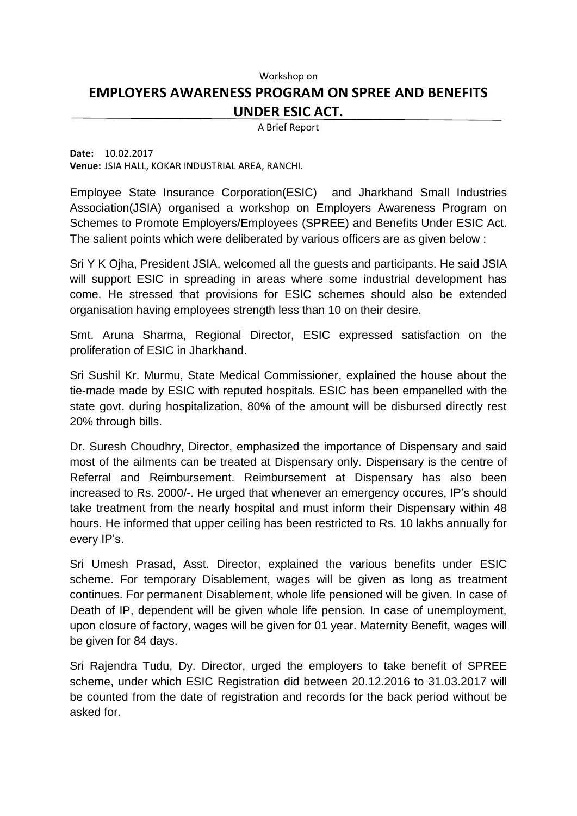## Workshop on **EMPLOYERS AWARENESS PROGRAM ON SPREE AND BENEFITS UNDER ESIC ACT.**

A Brief Report

**Date:** 10.02.2017 **Venue:** JSIA HALL, KOKAR INDUSTRIAL AREA, RANCHI.

Employee State Insurance Corporation(ESIC) and Jharkhand Small Industries Association(JSIA) organised a workshop on Employers Awareness Program on Schemes to Promote Employers/Employees (SPREE) and Benefits Under ESIC Act. The salient points which were deliberated by various officers are as given below :

Sri Y K Ojha, President JSIA, welcomed all the guests and participants. He said JSIA will support ESIC in spreading in areas where some industrial development has come. He stressed that provisions for ESIC schemes should also be extended organisation having employees strength less than 10 on their desire.

Smt. Aruna Sharma, Regional Director, ESIC expressed satisfaction on the proliferation of ESIC in Jharkhand.

Sri Sushil Kr. Murmu, State Medical Commissioner, explained the house about the tie-made made by ESIC with reputed hospitals. ESIC has been empanelled with the state govt. during hospitalization, 80% of the amount will be disbursed directly rest 20% through bills.

Dr. Suresh Choudhry, Director, emphasized the importance of Dispensary and said most of the ailments can be treated at Dispensary only. Dispensary is the centre of Referral and Reimbursement. Reimbursement at Dispensary has also been increased to Rs. 2000/-. He urged that whenever an emergency occures, IP's should take treatment from the nearly hospital and must inform their Dispensary within 48 hours. He informed that upper ceiling has been restricted to Rs. 10 lakhs annually for every IP's.

Sri Umesh Prasad, Asst. Director, explained the various benefits under ESIC scheme. For temporary Disablement, wages will be given as long as treatment continues. For permanent Disablement, whole life pensioned will be given. In case of Death of IP, dependent will be given whole life pension. In case of unemployment, upon closure of factory, wages will be given for 01 year. Maternity Benefit, wages will be given for 84 days.

Sri Rajendra Tudu, Dy. Director, urged the employers to take benefit of SPREE scheme, under which ESIC Registration did between 20.12.2016 to 31.03.2017 will be counted from the date of registration and records for the back period without be asked for.